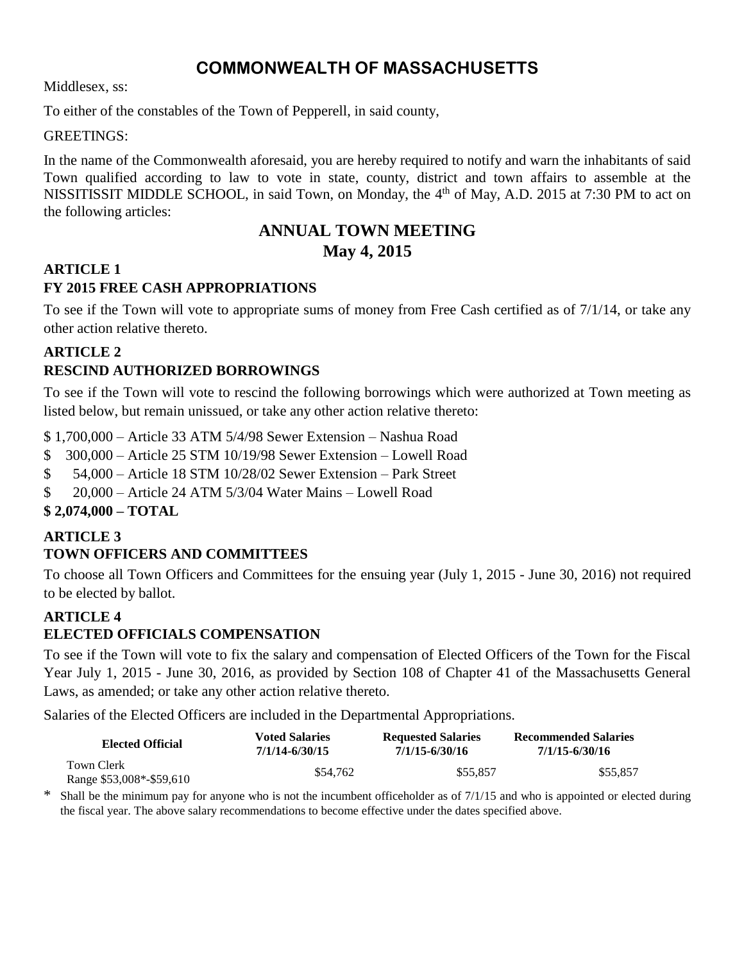# **COMMONWEALTH OF MASSACHUSETTS**

Middlesex, ss:

To either of the constables of the Town of Pepperell, in said county,

### GREETINGS:

In the name of the Commonwealth aforesaid, you are hereby required to notify and warn the inhabitants of said Town qualified according to law to vote in state, county, district and town affairs to assemble at the NISSITISSIT MIDDLE SCHOOL, in said Town, on Monday, the 4<sup>th</sup> of May, A.D. 2015 at 7:30 PM to act on the following articles:

# **ANNUAL TOWN MEETING May 4, 2015**

### **ARTICLE 1 FY 2015 FREE CASH APPROPRIATIONS**

To see if the Town will vote to appropriate sums of money from Free Cash certified as of 7/1/14, or take any other action relative thereto.

## **ARTICLE 2 RESCIND AUTHORIZED BORROWINGS**

To see if the Town will vote to rescind the following borrowings which were authorized at Town meeting as listed below, but remain unissued, or take any other action relative thereto:

\$ 1,700,000 – Article 33 ATM 5/4/98 Sewer Extension – Nashua Road

- \$ 300,000 Article 25 STM 10/19/98 Sewer Extension Lowell Road
- \$ 54,000 Article 18 STM 10/28/02 Sewer Extension Park Street
- \$ 20,000 Article 24 ATM 5/3/04 Water Mains Lowell Road

## **\$ 2,074,000 – TOTAL**

## **ARTICLE 3 TOWN OFFICERS AND COMMITTEES**

To choose all Town Officers and Committees for the ensuing year (July 1, 2015 - June 30, 2016) not required to be elected by ballot.

#### **ARTICLE 4 ELECTED OFFICIALS COMPENSATION**

To see if the Town will vote to fix the salary and compensation of Elected Officers of the Town for the Fiscal Year July 1, 2015 - June 30, 2016, as provided by Section 108 of Chapter 41 of the Massachusetts General Laws, as amended; or take any other action relative thereto.

Salaries of the Elected Officers are included in the Departmental Appropriations.

| <b>Elected Official</b>                | <b>Voted Salaries</b><br>7/1/14-6/30/15 |          | <b>Recommended Salaries</b><br>7/1/15-6/30/16 |  |
|----------------------------------------|-----------------------------------------|----------|-----------------------------------------------|--|
| Town Clerk<br>Range \$53,008*-\$59,610 | \$54,762                                | \$55,857 | \$55.857                                      |  |

Shall be the minimum pay for anyone who is not the incumbent officeholder as of 7/1/15 and who is appointed or elected during the fiscal year. The above salary recommendations to become effective under the dates specified above.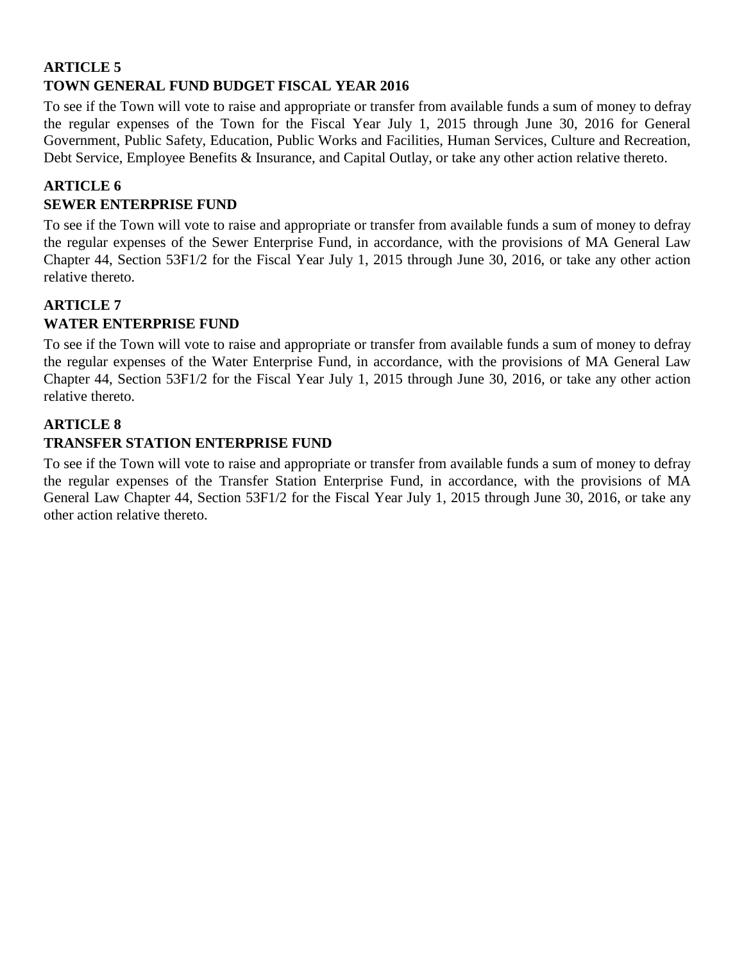### **ARTICLE 5 TOWN GENERAL FUND BUDGET FISCAL YEAR 2016**

To see if the Town will vote to raise and appropriate or transfer from available funds a sum of money to defray the regular expenses of the Town for the Fiscal Year July 1, 2015 through June 30, 2016 for General Government, Public Safety, Education, Public Works and Facilities, Human Services, Culture and Recreation, Debt Service, Employee Benefits & Insurance, and Capital Outlay, or take any other action relative thereto.

### **ARTICLE 6 SEWER ENTERPRISE FUND**

To see if the Town will vote to raise and appropriate or transfer from available funds a sum of money to defray the regular expenses of the Sewer Enterprise Fund, in accordance, with the provisions of MA General Law Chapter 44, Section 53F1/2 for the Fiscal Year July 1, 2015 through June 30, 2016, or take any other action relative thereto.

## **ARTICLE 7**

## **WATER ENTERPRISE FUND**

To see if the Town will vote to raise and appropriate or transfer from available funds a sum of money to defray the regular expenses of the Water Enterprise Fund, in accordance, with the provisions of MA General Law Chapter 44, Section 53F1/2 for the Fiscal Year July 1, 2015 through June 30, 2016, or take any other action relative thereto.

## **ARTICLE 8**

### **TRANSFER STATION ENTERPRISE FUND**

To see if the Town will vote to raise and appropriate or transfer from available funds a sum of money to defray the regular expenses of the Transfer Station Enterprise Fund, in accordance, with the provisions of MA General Law Chapter 44, Section 53F1/2 for the Fiscal Year July 1, 2015 through June 30, 2016, or take any other action relative thereto.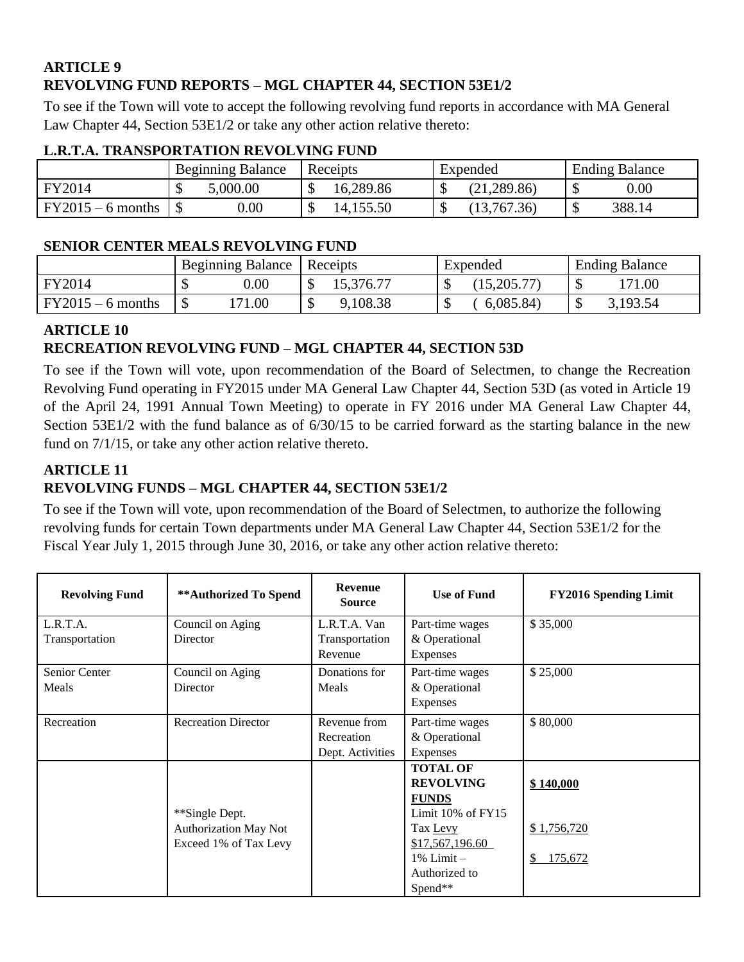## **ARTICLE 9 REVOLVING FUND REPORTS – MGL CHAPTER 44, SECTION 53E1/2**

To see if the Town will vote to accept the following revolving fund reports in accordance with MA General Law Chapter 44, Section 53E1/2 or take any other action relative thereto:

| Lawiga iwaya okiaiton ke colched che |                          |           |              |                       |
|--------------------------------------|--------------------------|-----------|--------------|-----------------------|
|                                      | <b>Beginning Balance</b> | Receipts  | Expended     | <b>Ending Balance</b> |
| FY2014                               | .000.00 ز                | 16,289.86 | (21, 289.86) | 0.00                  |
| $FY2015 - 6$ months                  | 0.00                     | 14,155.50 | (13,767.36)  | 388.14                |

## **L.R.T.A. TRANSPORTATION REVOLVING FUND**

### **SENIOR CENTER MEALS REVOLVING FUND**

|                   | <b>Beginning Balance</b><br>Receipts |                | Expended           | <b>Ending Balance</b> |  |
|-------------------|--------------------------------------|----------------|--------------------|-----------------------|--|
| FY2014            | 0.00                                 | 15,376.77<br>◡ | (15,205.77)<br>ΝIJ | 171.00                |  |
| $FY2015-6$ months | .71.00                               | 9,108.38<br>◡  | 6,085.84           | 3,193.54              |  |

## **ARTICLE 10 RECREATION REVOLVING FUND – MGL CHAPTER 44, SECTION 53D**

To see if the Town will vote, upon recommendation of the Board of Selectmen, to change the Recreation Revolving Fund operating in FY2015 under MA General Law Chapter 44, Section 53D (as voted in Article 19 of the April 24, 1991 Annual Town Meeting) to operate in FY 2016 under MA General Law Chapter 44, Section 53E1/2 with the fund balance as of  $6/30/15$  to be carried forward as the starting balance in the new fund on 7/1/15, or take any other action relative thereto.

## **ARTICLE 11 REVOLVING FUNDS – MGL CHAPTER 44, SECTION 53E1/2**

To see if the Town will vote, upon recommendation of the Board of Selectmen, to authorize the following revolving funds for certain Town departments under MA General Law Chapter 44, Section 53E1/2 for the Fiscal Year July 1, 2015 through June 30, 2016, or take any other action relative thereto:

| <b>Revolving Fund</b>      | ** Authorized To Spend       | <b>Revenue</b><br><b>Source</b> | <b>Use of Fund</b>                                                       | <b>FY2016 Spending Limit</b> |
|----------------------------|------------------------------|---------------------------------|--------------------------------------------------------------------------|------------------------------|
| L.R.T.A.<br>Transportation | Council on Aging<br>Director | L.R.T.A. Van<br>Transportation  | Part-time wages<br>& Operational                                         | \$35,000                     |
|                            |                              | Revenue                         | Expenses                                                                 |                              |
| Senior Center              | Council on Aging             | Donations for                   | Part-time wages                                                          | \$25,000                     |
| Meals                      | Director                     | Meals                           | & Operational<br>Expenses                                                |                              |
| Recreation                 | <b>Recreation Director</b>   | Revenue from                    | Part-time wages                                                          | \$80,000                     |
|                            |                              | Recreation<br>Dept. Activities  | & Operational<br>Expenses                                                |                              |
|                            | **Single Dept.               |                                 | <b>TOTAL OF</b><br><b>REVOLVING</b><br><b>FUNDS</b><br>Limit 10% of FY15 | \$140,000                    |
|                            | Authorization May Not        |                                 | Tax Levy                                                                 | \$1,756,720                  |
|                            | Exceed 1% of Tax Levy        |                                 | \$17,567,196.60<br>$1\%$ Limit $-$<br>Authorized to<br>Spend**           | \$175,672                    |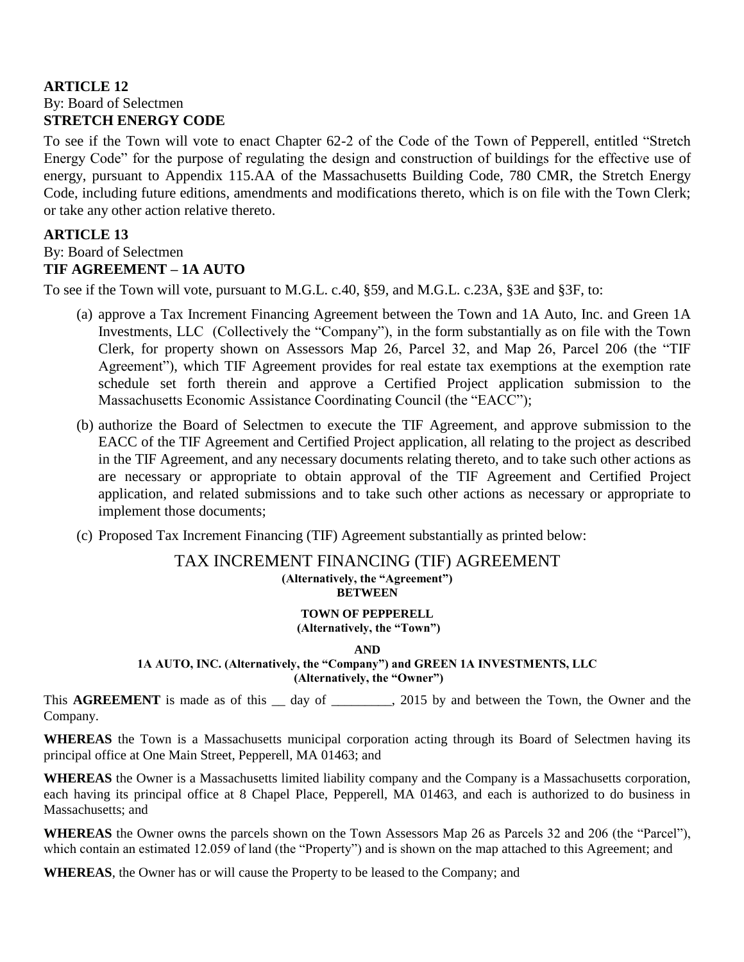### **ARTICLE 12** By: Board of Selectmen **STRETCH ENERGY CODE**

To see if the Town will vote to enact Chapter 62-2 of the Code of the Town of Pepperell, entitled "Stretch Energy Code" for the purpose of regulating the design and construction of buildings for the effective use of energy, pursuant to Appendix 115.AA of the Massachusetts Building Code, 780 CMR, the Stretch Energy Code, including future editions, amendments and modifications thereto, which is on file with the Town Clerk; or take any other action relative thereto.

### **ARTICLE 13**

#### By: Board of Selectmen **TIF AGREEMENT – 1A AUTO**

To see if the Town will vote, pursuant to M.G.L. c.40, §59, and M.G.L. c.23A, §3E and §3F, to:

- (a) approve a Tax Increment Financing Agreement between the Town and 1A Auto, Inc. and Green 1A Investments, LLC (Collectively the "Company"), in the form substantially as on file with the Town Clerk, for property shown on Assessors Map 26, Parcel 32, and Map 26, Parcel 206 (the "TIF Agreement"), which TIF Agreement provides for real estate tax exemptions at the exemption rate schedule set forth therein and approve a Certified Project application submission to the Massachusetts Economic Assistance Coordinating Council (the "EACC");
- (b) authorize the Board of Selectmen to execute the TIF Agreement, and approve submission to the EACC of the TIF Agreement and Certified Project application, all relating to the project as described in the TIF Agreement, and any necessary documents relating thereto, and to take such other actions as are necessary or appropriate to obtain approval of the TIF Agreement and Certified Project application, and related submissions and to take such other actions as necessary or appropriate to implement those documents;
- (c) Proposed Tax Increment Financing (TIF) Agreement substantially as printed below:

#### TAX INCREMENT FINANCING (TIF) AGREEMENT **(Alternatively, the "Agreement") BETWEEN**

**TOWN OF PEPPERELL (Alternatively, the "Town")**

#### **AND**

#### **1A AUTO, INC. (Alternatively, the "Company") and GREEN 1A INVESTMENTS, LLC (Alternatively, the "Owner")**

This **AGREEMENT** is made as of this <u>e</u> day of <u>equal</u>, 2015 by and between the Town, the Owner and the Company.

**WHEREAS** the Town is a Massachusetts municipal corporation acting through its Board of Selectmen having its principal office at One Main Street, Pepperell, MA 01463; and

**WHEREAS** the Owner is a Massachusetts limited liability company and the Company is a Massachusetts corporation, each having its principal office at 8 Chapel Place, Pepperell, MA 01463, and each is authorized to do business in Massachusetts; and

**WHEREAS** the Owner owns the parcels shown on the Town Assessors Map 26 as Parcels 32 and 206 (the "Parcel"), which contain an estimated 12.059 of land (the "Property") and is shown on the map attached to this Agreement; and

**WHEREAS**, the Owner has or will cause the Property to be leased to the Company; and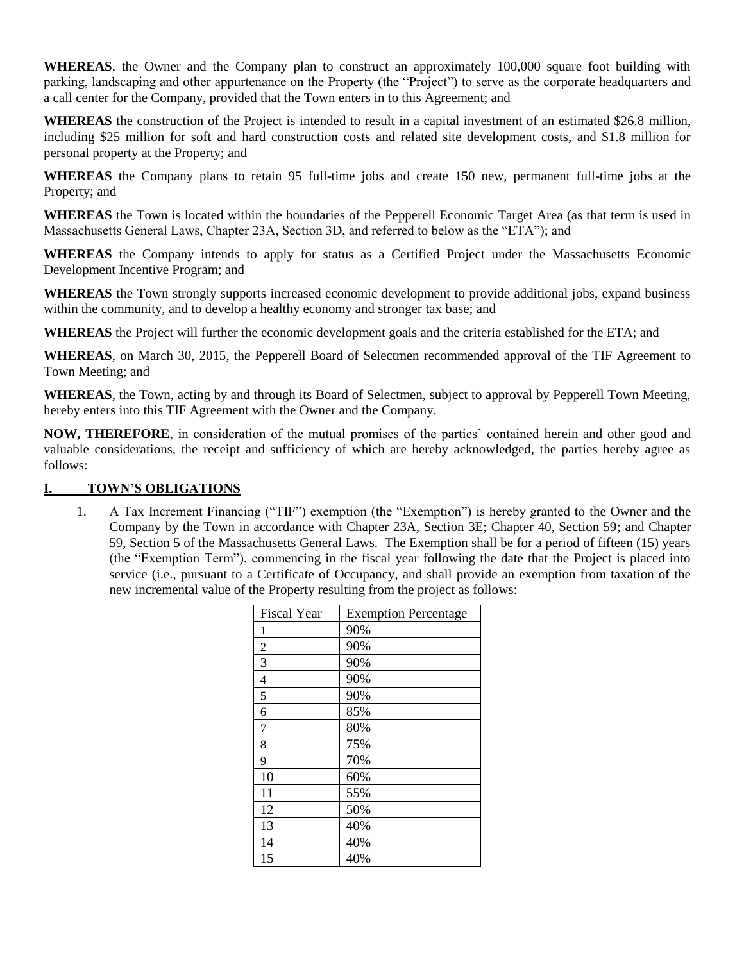**WHEREAS**, the Owner and the Company plan to construct an approximately 100,000 square foot building with parking, landscaping and other appurtenance on the Property (the "Project") to serve as the corporate headquarters and a call center for the Company, provided that the Town enters in to this Agreement; and

**WHEREAS** the construction of the Project is intended to result in a capital investment of an estimated \$26.8 million, including \$25 million for soft and hard construction costs and related site development costs, and \$1.8 million for personal property at the Property; and

**WHEREAS** the Company plans to retain 95 full-time jobs and create 150 new, permanent full-time jobs at the Property; and

**WHEREAS** the Town is located within the boundaries of the Pepperell Economic Target Area (as that term is used in Massachusetts General Laws, Chapter 23A, Section 3D, and referred to below as the "ETA"); and

**WHEREAS** the Company intends to apply for status as a Certified Project under the Massachusetts Economic Development Incentive Program; and

**WHEREAS** the Town strongly supports increased economic development to provide additional jobs, expand business within the community, and to develop a healthy economy and stronger tax base; and

**WHEREAS** the Project will further the economic development goals and the criteria established for the ETA; and

**WHEREAS**, on March 30, 2015, the Pepperell Board of Selectmen recommended approval of the TIF Agreement to Town Meeting; and

**WHEREAS**, the Town, acting by and through its Board of Selectmen, subject to approval by Pepperell Town Meeting, hereby enters into this TIF Agreement with the Owner and the Company.

**NOW, THEREFORE**, in consideration of the mutual promises of the parties' contained herein and other good and valuable considerations, the receipt and sufficiency of which are hereby acknowledged, the parties hereby agree as follows:

#### **I. TOWN'S OBLIGATIONS**

1. A Tax Increment Financing ("TIF") exemption (the "Exemption") is hereby granted to the Owner and the Company by the Town in accordance with Chapter 23A, Section 3E; Chapter 40, Section 59; and Chapter 59, Section 5 of the Massachusetts General Laws. The Exemption shall be for a period of fifteen (15) years (the "Exemption Term"), commencing in the fiscal year following the date that the Project is placed into service (i.e., pursuant to a Certificate of Occupancy, and shall provide an exemption from taxation of the new incremental value of the Property resulting from the project as follows:

| <b>Fiscal Year</b> | <b>Exemption Percentage</b> |
|--------------------|-----------------------------|
| 1                  | 90%                         |
| $\overline{c}$     | 90%                         |
| 3                  | 90%                         |
| 4                  | 90%                         |
| 5                  | 90%                         |
| 6                  | 85%                         |
| 7                  | 80%                         |
| 8                  | 75%                         |
| 9                  | 70%                         |
| 10                 | 60%                         |
| 11                 | 55%                         |
| 12                 | 50%                         |
| 13                 | 40%                         |
| 14                 | 40%                         |
| 15                 | 40%                         |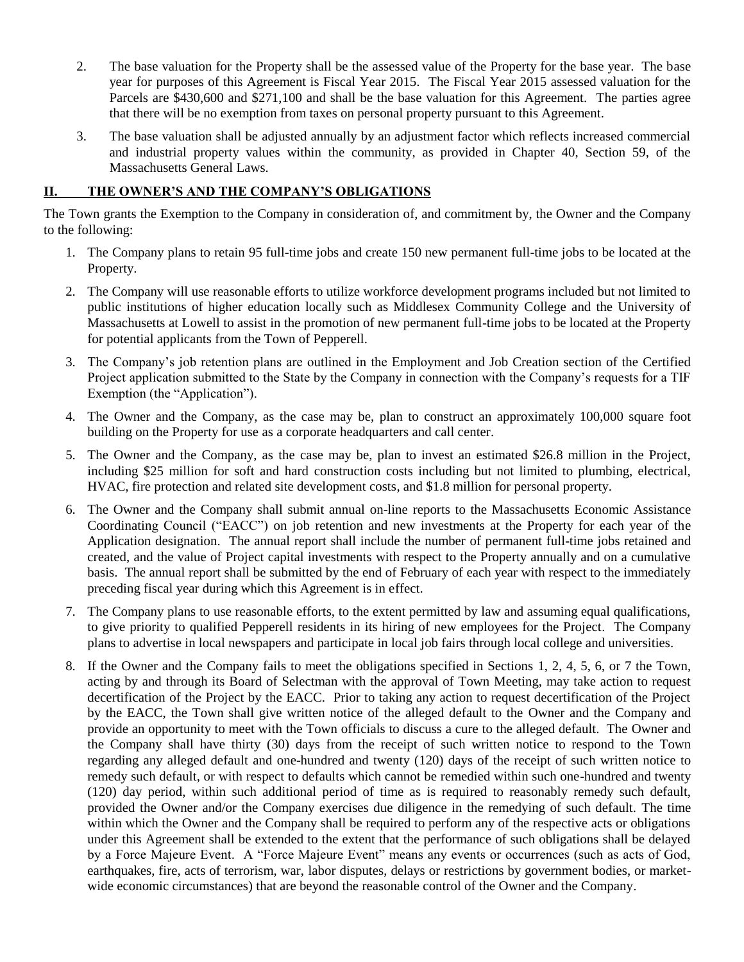- 2. The base valuation for the Property shall be the assessed value of the Property for the base year. The base year for purposes of this Agreement is Fiscal Year 2015. The Fiscal Year 2015 assessed valuation for the Parcels are \$430,600 and \$271,100 and shall be the base valuation for this Agreement. The parties agree that there will be no exemption from taxes on personal property pursuant to this Agreement.
- 3. The base valuation shall be adjusted annually by an adjustment factor which reflects increased commercial and industrial property values within the community, as provided in Chapter 40, Section 59, of the Massachusetts General Laws.

#### **II. THE OWNER'S AND THE COMPANY'S OBLIGATIONS**

The Town grants the Exemption to the Company in consideration of, and commitment by, the Owner and the Company to the following:

- 1. The Company plans to retain 95 full-time jobs and create 150 new permanent full-time jobs to be located at the Property.
- 2. The Company will use reasonable efforts to utilize workforce development programs included but not limited to public institutions of higher education locally such as Middlesex Community College and the University of Massachusetts at Lowell to assist in the promotion of new permanent full-time jobs to be located at the Property for potential applicants from the Town of Pepperell.
- 3. The Company's job retention plans are outlined in the Employment and Job Creation section of the Certified Project application submitted to the State by the Company in connection with the Company's requests for a TIF Exemption (the "Application").
- 4. The Owner and the Company, as the case may be, plan to construct an approximately 100,000 square foot building on the Property for use as a corporate headquarters and call center.
- 5. The Owner and the Company, as the case may be, plan to invest an estimated \$26.8 million in the Project, including \$25 million for soft and hard construction costs including but not limited to plumbing, electrical, HVAC, fire protection and related site development costs, and \$1.8 million for personal property.
- 6. The Owner and the Company shall submit annual on-line reports to the Massachusetts Economic Assistance Coordinating Council ("EACC") on job retention and new investments at the Property for each year of the Application designation. The annual report shall include the number of permanent full-time jobs retained and created, and the value of Project capital investments with respect to the Property annually and on a cumulative basis. The annual report shall be submitted by the end of February of each year with respect to the immediately preceding fiscal year during which this Agreement is in effect.
- 7. The Company plans to use reasonable efforts, to the extent permitted by law and assuming equal qualifications, to give priority to qualified Pepperell residents in its hiring of new employees for the Project. The Company plans to advertise in local newspapers and participate in local job fairs through local college and universities.
- 8. If the Owner and the Company fails to meet the obligations specified in Sections 1, 2, 4, 5, 6, or 7 the Town, acting by and through its Board of Selectman with the approval of Town Meeting, may take action to request decertification of the Project by the EACC. Prior to taking any action to request decertification of the Project by the EACC, the Town shall give written notice of the alleged default to the Owner and the Company and provide an opportunity to meet with the Town officials to discuss a cure to the alleged default. The Owner and the Company shall have thirty (30) days from the receipt of such written notice to respond to the Town regarding any alleged default and one-hundred and twenty (120) days of the receipt of such written notice to remedy such default, or with respect to defaults which cannot be remedied within such one-hundred and twenty (120) day period, within such additional period of time as is required to reasonably remedy such default, provided the Owner and/or the Company exercises due diligence in the remedying of such default. The time within which the Owner and the Company shall be required to perform any of the respective acts or obligations under this Agreement shall be extended to the extent that the performance of such obligations shall be delayed by a Force Majeure Event. A "Force Majeure Event" means any events or occurrences (such as acts of God, earthquakes, fire, acts of terrorism, war, labor disputes, delays or restrictions by government bodies, or marketwide economic circumstances) that are beyond the reasonable control of the Owner and the Company.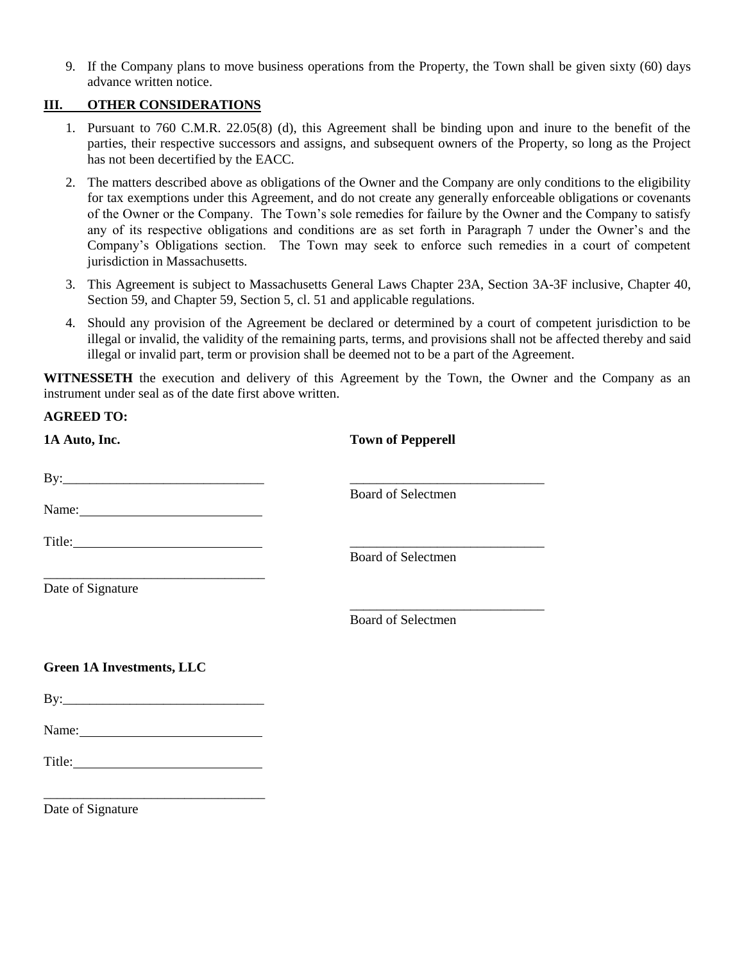9. If the Company plans to move business operations from the Property, the Town shall be given sixty (60) days advance written notice.

#### **III. OTHER CONSIDERATIONS**

- 1. Pursuant to 760 C.M.R. 22.05(8) (d), this Agreement shall be binding upon and inure to the benefit of the parties, their respective successors and assigns, and subsequent owners of the Property, so long as the Project has not been decertified by the EACC.
- 2. The matters described above as obligations of the Owner and the Company are only conditions to the eligibility for tax exemptions under this Agreement, and do not create any generally enforceable obligations or covenants of the Owner or the Company. The Town's sole remedies for failure by the Owner and the Company to satisfy any of its respective obligations and conditions are as set forth in Paragraph 7 under the Owner's and the Company's Obligations section. The Town may seek to enforce such remedies in a court of competent jurisdiction in Massachusetts.
- 3. This Agreement is subject to Massachusetts General Laws Chapter 23A, Section 3A-3F inclusive, Chapter 40, Section 59, and Chapter 59, Section 5, cl. 51 and applicable regulations.
- 4. Should any provision of the Agreement be declared or determined by a court of competent jurisdiction to be illegal or invalid, the validity of the remaining parts, terms, and provisions shall not be affected thereby and said illegal or invalid part, term or provision shall be deemed not to be a part of the Agreement.

**WITNESSETH** the execution and delivery of this Agreement by the Town, the Owner and the Company as an instrument under seal as of the date first above written.

#### **AGREED TO:**

| 1A Auto, Inc.                    | <b>Town of Pepperell</b>  |
|----------------------------------|---------------------------|
| By: $\frac{1}{2}$                |                           |
|                                  | <b>Board of Selectmen</b> |
|                                  |                           |
|                                  | <b>Board of Selectmen</b> |
| Date of Signature                |                           |
|                                  | <b>Board of Selectmen</b> |
|                                  |                           |
| <b>Green 1A Investments, LLC</b> |                           |
|                                  |                           |
|                                  |                           |
|                                  |                           |
|                                  |                           |
| Date of Signature                |                           |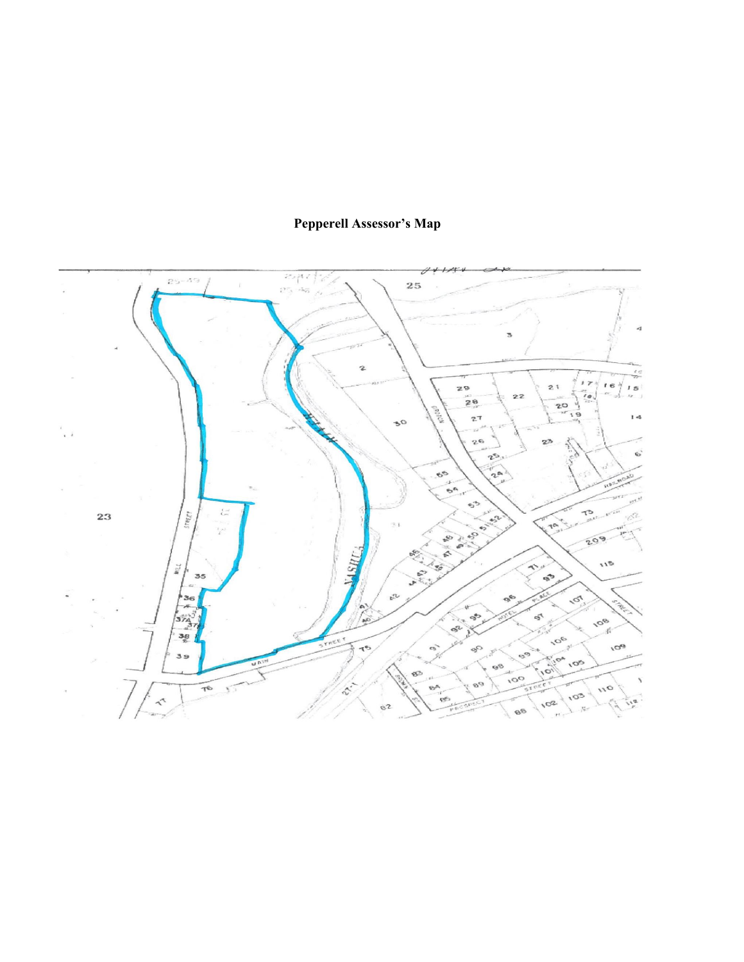## **Pepperell Assessor's Map**

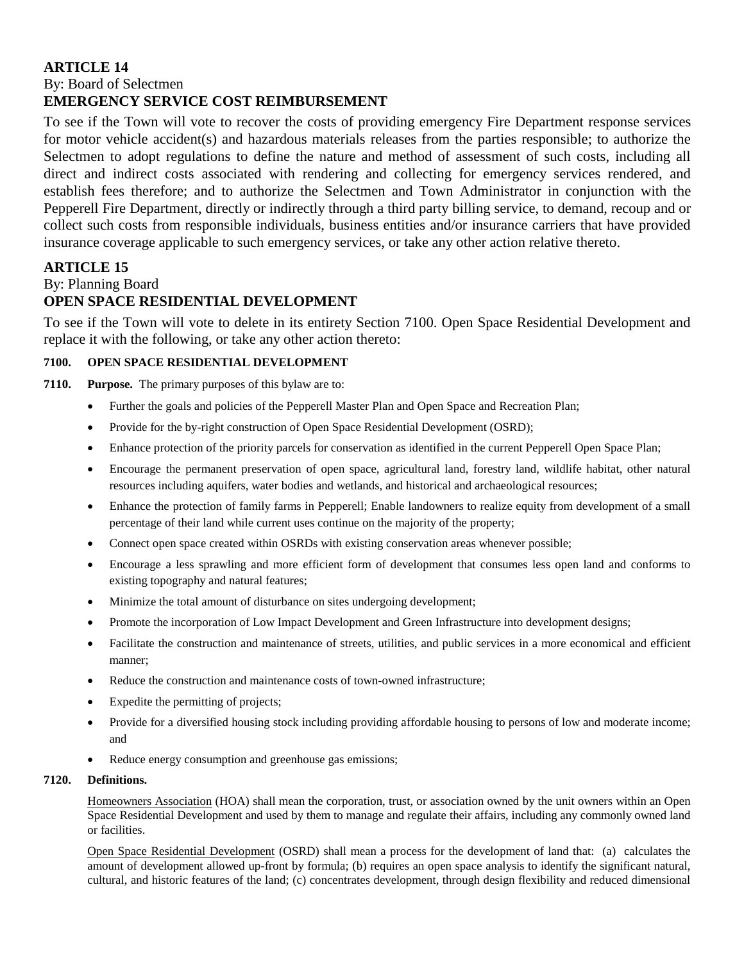#### **ARTICLE 14** By: Board of Selectmen **EMERGENCY SERVICE COST REIMBURSEMENT**

To see if the Town will vote to recover the costs of providing emergency Fire Department response services for motor vehicle accident(s) and hazardous materials releases from the parties responsible; to authorize the Selectmen to adopt regulations to define the nature and method of assessment of such costs, including all direct and indirect costs associated with rendering and collecting for emergency services rendered, and establish fees therefore; and to authorize the Selectmen and Town Administrator in conjunction with the Pepperell Fire Department, directly or indirectly through a third party billing service, to demand, recoup and or collect such costs from responsible individuals, business entities and/or insurance carriers that have provided insurance coverage applicable to such emergency services, or take any other action relative thereto.

### **ARTICLE 15**

By: Planning Board

### **OPEN SPACE RESIDENTIAL DEVELOPMENT**

To see if the Town will vote to delete in its entirety Section 7100. Open Space Residential Development and replace it with the following, or take any other action thereto:

#### **7100. OPEN SPACE RESIDENTIAL DEVELOPMENT**

**7110. Purpose.** The primary purposes of this bylaw are to:

- Further the goals and policies of the Pepperell Master Plan and Open Space and Recreation Plan;
- Provide for the by-right construction of Open Space Residential Development (OSRD);
- Enhance protection of the priority parcels for conservation as identified in the current Pepperell Open Space Plan;
- Encourage the permanent preservation of open space, agricultural land, forestry land, wildlife habitat, other natural resources including aquifers, water bodies and wetlands, and historical and archaeological resources;
- Enhance the protection of family farms in Pepperell; Enable landowners to realize equity from development of a small percentage of their land while current uses continue on the majority of the property;
- Connect open space created within OSRDs with existing conservation areas whenever possible;
- Encourage a less sprawling and more efficient form of development that consumes less open land and conforms to existing topography and natural features;
- Minimize the total amount of disturbance on sites undergoing development;
- Promote the incorporation of Low Impact Development and Green Infrastructure into development designs;
- Facilitate the construction and maintenance of streets, utilities, and public services in a more economical and efficient manner;
- Reduce the construction and maintenance costs of town-owned infrastructure;
- Expedite the permitting of projects;
- Provide for a diversified housing stock including providing affordable housing to persons of low and moderate income; and
- Reduce energy consumption and greenhouse gas emissions;

#### **7120. Definitions.**

Homeowners Association (HOA) shall mean the corporation, trust, or association owned by the unit owners within an Open Space Residential Development and used by them to manage and regulate their affairs, including any commonly owned land or facilities.

Open Space Residential Development (OSRD) shall mean a process for the development of land that: (a) calculates the amount of development allowed up-front by formula; (b) requires an open space analysis to identify the significant natural, cultural, and historic features of the land; (c) concentrates development, through design flexibility and reduced dimensional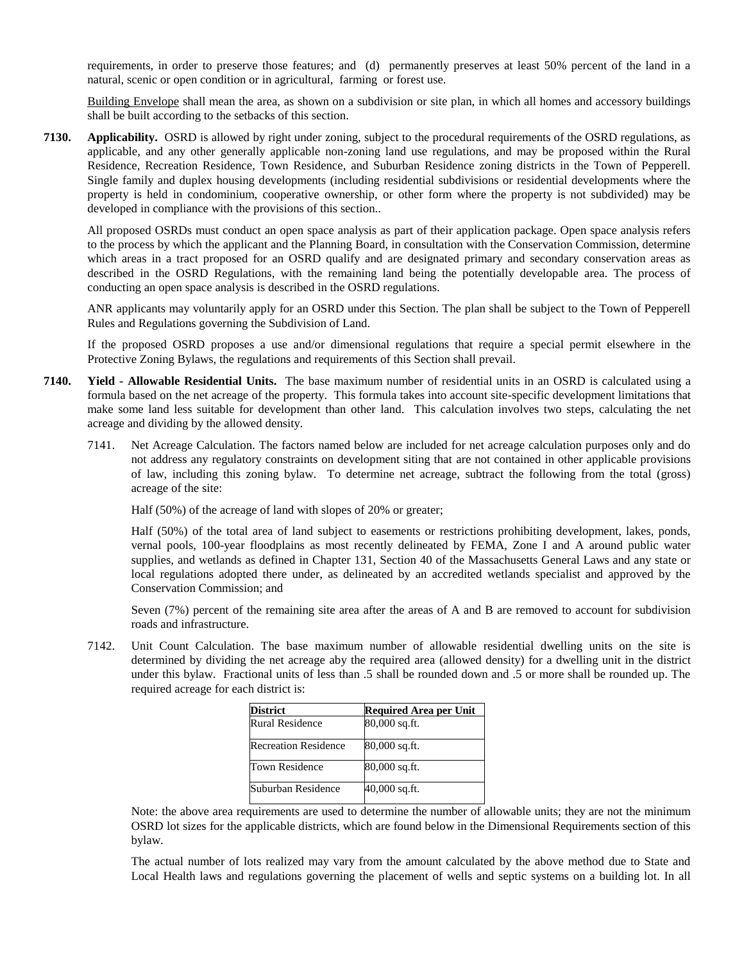requirements, in order to preserve those features; and (d) permanently preserves at least 50% percent of the land in a natural, scenic or open condition or in agricultural, farming or forest use.

Building Envelope shall mean the area, as shown on a subdivision or site plan, in which all homes and accessory buildings shall be built according to the setbacks of this section.

**7130. Applicability.** OSRD is allowed by right under zoning, subject to the procedural requirements of the OSRD regulations, as applicable, and any other generally applicable non-zoning land use regulations, and may be proposed within the Rural Residence, Recreation Residence, Town Residence, and Suburban Residence zoning districts in the Town of Pepperell. Single family and duplex housing developments (including residential subdivisions or residential developments where the property is held in condominium, cooperative ownership, or other form where the property is not subdivided) may be developed in compliance with the provisions of this section..

All proposed OSRDs must conduct an open space analysis as part of their application package. Open space analysis refers to the process by which the applicant and the Planning Board, in consultation with the Conservation Commission, determine which areas in a tract proposed for an OSRD qualify and are designated primary and secondary conservation areas as described in the OSRD Regulations, with the remaining land being the potentially developable area. The process of conducting an open space analysis is described in the OSRD regulations.

ANR applicants may voluntarily apply for an OSRD under this Section. The plan shall be subject to the Town of Pepperell Rules and Regulations governing the Subdivision of Land.

If the proposed OSRD proposes a use and/or dimensional regulations that require a special permit elsewhere in the Protective Zoning Bylaws, the regulations and requirements of this Section shall prevail.

- **7140. Yield - Allowable Residential Units.** The base maximum number of residential units in an OSRD is calculated using a formula based on the net acreage of the property. This formula takes into account site-specific development limitations that make some land less suitable for development than other land. This calculation involves two steps, calculating the net acreage and dividing by the allowed density.
	- 7141. Net Acreage Calculation. The factors named below are included for net acreage calculation purposes only and do not address any regulatory constraints on development siting that are not contained in other applicable provisions of law, including this zoning bylaw. To determine net acreage, subtract the following from the total (gross) acreage of the site:

Half (50%) of the acreage of land with slopes of 20% or greater;

Half (50%) of the total area of land subject to easements or restrictions prohibiting development, lakes, ponds, vernal pools, 100-year floodplains as most recently delineated by FEMA, Zone I and A around public water supplies, and wetlands as defined in Chapter 131, Section 40 of the Massachusetts General Laws and any state or local regulations adopted there under, as delineated by an accredited wetlands specialist and approved by the Conservation Commission; and

Seven (7%) percent of the remaining site area after the areas of A and B are removed to account for subdivision roads and infrastructure.

7142. Unit Count Calculation. The base maximum number of allowable residential dwelling units on the site is determined by dividing the net acreage aby the required area (allowed density) for a dwelling unit in the district under this bylaw. Fractional units of less than .5 shall be rounded down and .5 or more shall be rounded up. The required acreage for each district is:

| <b>District</b>             | <b>Required Area per Unit</b> |
|-----------------------------|-------------------------------|
| Rural Residence             | 80,000 sq.ft.                 |
| <b>Recreation Residence</b> | 80,000 sq.ft.                 |
| Town Residence              | 80,000 sq.ft.                 |
| Suburban Residence          | 40,000 sq.ft.                 |

Note: the above area requirements are used to determine the number of allowable units; they are not the minimum OSRD lot sizes for the applicable districts, which are found below in the Dimensional Requirements section of this bylaw.

The actual number of lots realized may vary from the amount calculated by the above method due to State and Local Health laws and regulations governing the placement of wells and septic systems on a building lot. In all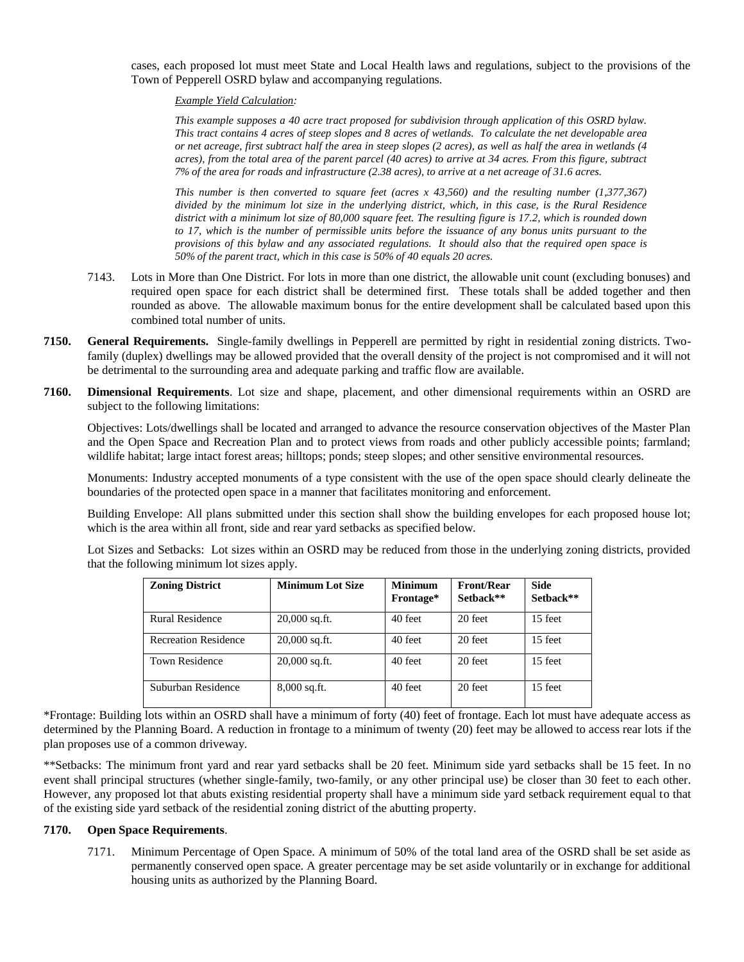cases, each proposed lot must meet State and Local Health laws and regulations, subject to the provisions of the Town of Pepperell OSRD bylaw and accompanying regulations.

*Example Yield Calculation:*

*This example supposes a 40 acre tract proposed for subdivision through application of this OSRD bylaw. This tract contains 4 acres of steep slopes and 8 acres of wetlands. To calculate the net developable area or net acreage, first subtract half the area in steep slopes (2 acres), as well as half the area in wetlands (4 acres), from the total area of the parent parcel (40 acres) to arrive at 34 acres. From this figure, subtract 7% of the area for roads and infrastructure (2.38 acres), to arrive at a net acreage of 31.6 acres.* 

*This number is then converted to square feet (acres x 43,560) and the resulting number (1,377,367) divided by the minimum lot size in the underlying district, which, in this case, is the Rural Residence district with a minimum lot size of 80,000 square feet. The resulting figure is 17.2, which is rounded down to 17, which is the number of permissible units before the issuance of any bonus units pursuant to the provisions of this bylaw and any associated regulations. It should also that the required open space is 50% of the parent tract, which in this case is 50% of 40 equals 20 acres.* 

- 7143. Lots in More than One District. For lots in more than one district, the allowable unit count (excluding bonuses) and required open space for each district shall be determined first. These totals shall be added together and then rounded as above. The allowable maximum bonus for the entire development shall be calculated based upon this combined total number of units.
- **7150. General Requirements.** Single-family dwellings in Pepperell are permitted by right in residential zoning districts. Twofamily (duplex) dwellings may be allowed provided that the overall density of the project is not compromised and it will not be detrimental to the surrounding area and adequate parking and traffic flow are available.
- **7160. Dimensional Requirements**. Lot size and shape, placement, and other dimensional requirements within an OSRD are subject to the following limitations:

Objectives: Lots/dwellings shall be located and arranged to advance the resource conservation objectives of the Master Plan and the Open Space and Recreation Plan and to protect views from roads and other publicly accessible points; farmland; wildlife habitat; large intact forest areas; hilltops; ponds; steep slopes; and other sensitive environmental resources.

Monuments: Industry accepted monuments of a type consistent with the use of the open space should clearly delineate the boundaries of the protected open space in a manner that facilitates monitoring and enforcement.

Building Envelope: All plans submitted under this section shall show the building envelopes for each proposed house lot; which is the area within all front, side and rear yard setbacks as specified below.

Lot Sizes and Setbacks: Lot sizes within an OSRD may be reduced from those in the underlying zoning districts, provided that the following minimum lot sizes apply.

| <b>Zoning District</b>      | <b>Minimum Lot Size</b> | <b>Minimum</b><br>Frontage* | <b>Front/Rear</b><br>Setback** | Side<br>Sethack** |
|-----------------------------|-------------------------|-----------------------------|--------------------------------|-------------------|
| Rural Residence             | $20,000$ sq.ft.         | 40 feet                     | 20 feet                        | 15 feet           |
| <b>Recreation Residence</b> | $20,000$ sq.ft.         | 40 feet                     | 20 feet                        | 15 feet           |
| Town Residence              | $20,000$ sq.ft.         | 40 feet                     | 20 feet                        | 15 feet           |
| Suburban Residence          | $8,000$ sq.ft.          | 40 feet                     | 20 feet                        | 15 feet           |

\*Frontage: Building lots within an OSRD shall have a minimum of forty (40) feet of frontage. Each lot must have adequate access as determined by the Planning Board. A reduction in frontage to a minimum of twenty (20) feet may be allowed to access rear lots if the plan proposes use of a common driveway.

\*\*Setbacks: The minimum front yard and rear yard setbacks shall be 20 feet. Minimum side yard setbacks shall be 15 feet. In no event shall principal structures (whether single-family, two-family, or any other principal use) be closer than 30 feet to each other. However, any proposed lot that abuts existing residential property shall have a minimum side yard setback requirement equal to that of the existing side yard setback of the residential zoning district of the abutting property.

#### **7170. Open Space Requirements**.

7171. Minimum Percentage of Open Space. A minimum of 50% of the total land area of the OSRD shall be set aside as permanently conserved open space. A greater percentage may be set aside voluntarily or in exchange for additional housing units as authorized by the Planning Board.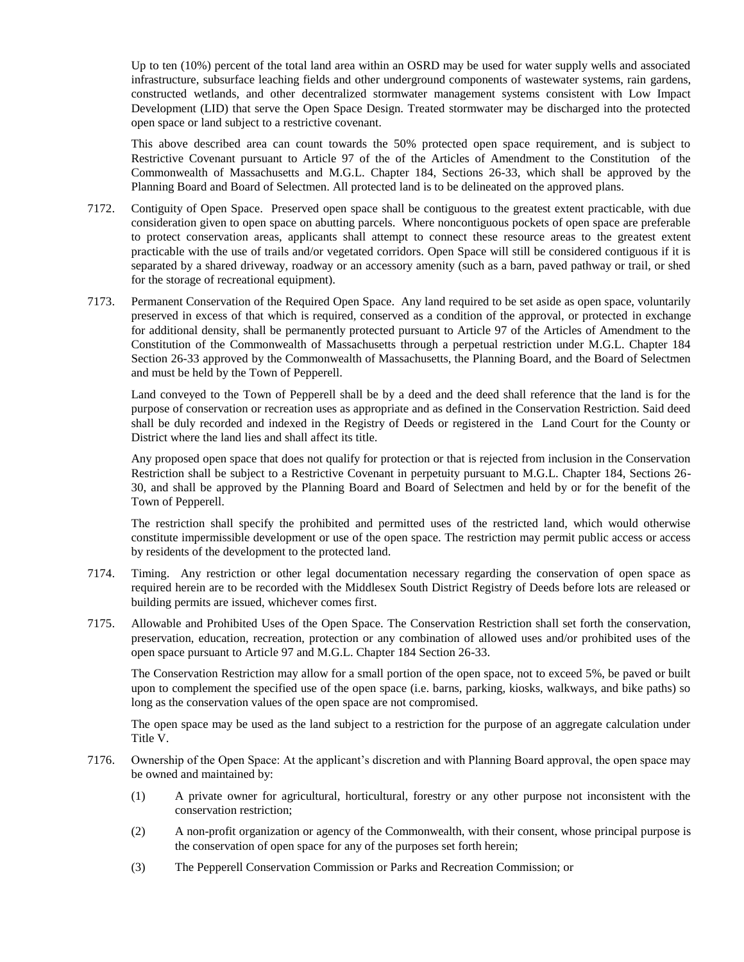Up to ten (10%) percent of the total land area within an OSRD may be used for water supply wells and associated infrastructure, subsurface leaching fields and other underground components of wastewater systems, rain gardens, constructed wetlands, and other decentralized stormwater management systems consistent with Low Impact Development (LID) that serve the Open Space Design. Treated stormwater may be discharged into the protected open space or land subject to a restrictive covenant.

This above described area can count towards the 50% protected open space requirement, and is subject to Restrictive Covenant pursuant to Article 97 of the of the Articles of Amendment to the Constitution of the Commonwealth of Massachusetts and M.G.L. Chapter 184, Sections 26-33, which shall be approved by the Planning Board and Board of Selectmen. All protected land is to be delineated on the approved plans.

- 7172. Contiguity of Open Space. Preserved open space shall be contiguous to the greatest extent practicable, with due consideration given to open space on abutting parcels. Where noncontiguous pockets of open space are preferable to protect conservation areas, applicants shall attempt to connect these resource areas to the greatest extent practicable with the use of trails and/or vegetated corridors. Open Space will still be considered contiguous if it is separated by a shared driveway, roadway or an accessory amenity (such as a barn, paved pathway or trail, or shed for the storage of recreational equipment).
- 7173. Permanent Conservation of the Required Open Space. Any land required to be set aside as open space, voluntarily preserved in excess of that which is required, conserved as a condition of the approval, or protected in exchange for additional density, shall be permanently protected pursuant to Article 97 of the Articles of Amendment to the Constitution of the Commonwealth of Massachusetts through a perpetual restriction under M.G.L. Chapter 184 Section 26-33 approved by the Commonwealth of Massachusetts, the Planning Board, and the Board of Selectmen and must be held by the Town of Pepperell.

Land conveyed to the Town of Pepperell shall be by a deed and the deed shall reference that the land is for the purpose of conservation or recreation uses as appropriate and as defined in the Conservation Restriction. Said deed shall be duly recorded and indexed in the Registry of Deeds or registered in the Land Court for the County or District where the land lies and shall affect its title.

Any proposed open space that does not qualify for protection or that is rejected from inclusion in the Conservation Restriction shall be subject to a Restrictive Covenant in perpetuity pursuant to M.G.L. Chapter 184, Sections 26- 30, and shall be approved by the Planning Board and Board of Selectmen and held by or for the benefit of the Town of Pepperell.

The restriction shall specify the prohibited and permitted uses of the restricted land, which would otherwise constitute impermissible development or use of the open space. The restriction may permit public access or access by residents of the development to the protected land.

- 7174. Timing. Any restriction or other legal documentation necessary regarding the conservation of open space as required herein are to be recorded with the Middlesex South District Registry of Deeds before lots are released or building permits are issued, whichever comes first.
- 7175. Allowable and Prohibited Uses of the Open Space. The Conservation Restriction shall set forth the conservation, preservation, education, recreation, protection or any combination of allowed uses and/or prohibited uses of the open space pursuant to Article 97 and M.G.L. Chapter 184 Section 26-33.

The Conservation Restriction may allow for a small portion of the open space, not to exceed 5%, be paved or built upon to complement the specified use of the open space (i.e. barns, parking, kiosks, walkways, and bike paths) so long as the conservation values of the open space are not compromised.

The open space may be used as the land subject to a restriction for the purpose of an aggregate calculation under Title V.

- 7176. Ownership of the Open Space: At the applicant's discretion and with Planning Board approval, the open space may be owned and maintained by:
	- (1) A private owner for agricultural, horticultural, forestry or any other purpose not inconsistent with the conservation restriction;
	- (2) A non-profit organization or agency of the Commonwealth, with their consent, whose principal purpose is the conservation of open space for any of the purposes set forth herein;
	- (3) The Pepperell Conservation Commission or Parks and Recreation Commission; or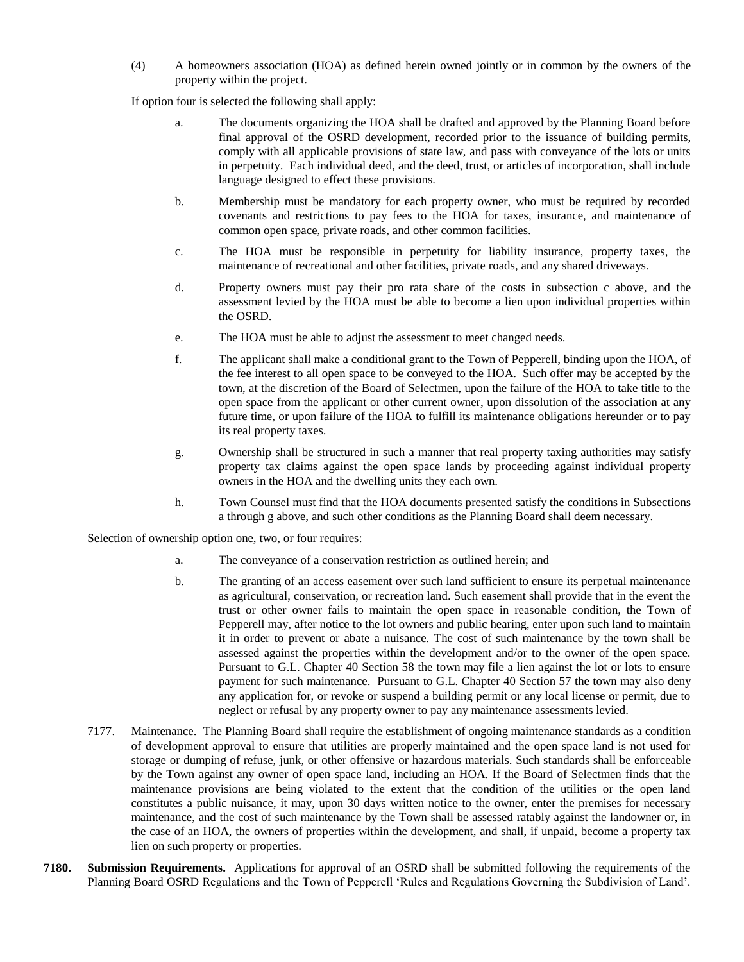(4) A homeowners association (HOA) as defined herein owned jointly or in common by the owners of the property within the project.

If option four is selected the following shall apply:

- a. The documents organizing the HOA shall be drafted and approved by the Planning Board before final approval of the OSRD development, recorded prior to the issuance of building permits, comply with all applicable provisions of state law, and pass with conveyance of the lots or units in perpetuity. Each individual deed, and the deed, trust, or articles of incorporation, shall include language designed to effect these provisions.
- b. Membership must be mandatory for each property owner, who must be required by recorded covenants and restrictions to pay fees to the HOA for taxes, insurance, and maintenance of common open space, private roads, and other common facilities.
- c. The HOA must be responsible in perpetuity for liability insurance, property taxes, the maintenance of recreational and other facilities, private roads, and any shared driveways.
- d. Property owners must pay their pro rata share of the costs in subsection c above, and the assessment levied by the HOA must be able to become a lien upon individual properties within the OSRD.
- e. The HOA must be able to adjust the assessment to meet changed needs.
- f. The applicant shall make a conditional grant to the Town of Pepperell, binding upon the HOA, of the fee interest to all open space to be conveyed to the HOA. Such offer may be accepted by the town, at the discretion of the Board of Selectmen, upon the failure of the HOA to take title to the open space from the applicant or other current owner, upon dissolution of the association at any future time, or upon failure of the HOA to fulfill its maintenance obligations hereunder or to pay its real property taxes.
- g. Ownership shall be structured in such a manner that real property taxing authorities may satisfy property tax claims against the open space lands by proceeding against individual property owners in the HOA and the dwelling units they each own.
- h. Town Counsel must find that the HOA documents presented satisfy the conditions in Subsections a through g above, and such other conditions as the Planning Board shall deem necessary.

Selection of ownership option one, two, or four requires:

- a. The conveyance of a conservation restriction as outlined herein; and
- b. The granting of an access easement over such land sufficient to ensure its perpetual maintenance as agricultural, conservation, or recreation land. Such easement shall provide that in the event the trust or other owner fails to maintain the open space in reasonable condition, the Town of Pepperell may, after notice to the lot owners and public hearing, enter upon such land to maintain it in order to prevent or abate a nuisance. The cost of such maintenance by the town shall be assessed against the properties within the development and/or to the owner of the open space. Pursuant to G.L. Chapter 40 Section 58 the town may file a lien against the lot or lots to ensure payment for such maintenance. Pursuant to G.L. Chapter 40 Section 57 the town may also deny any application for, or revoke or suspend a building permit or any local license or permit, due to neglect or refusal by any property owner to pay any maintenance assessments levied.
- 7177. Maintenance. The Planning Board shall require the establishment of ongoing maintenance standards as a condition of development approval to ensure that utilities are properly maintained and the open space land is not used for storage or dumping of refuse, junk, or other offensive or hazardous materials. Such standards shall be enforceable by the Town against any owner of open space land, including an HOA. If the Board of Selectmen finds that the maintenance provisions are being violated to the extent that the condition of the utilities or the open land constitutes a public nuisance, it may, upon 30 days written notice to the owner, enter the premises for necessary maintenance, and the cost of such maintenance by the Town shall be assessed ratably against the landowner or, in the case of an HOA, the owners of properties within the development, and shall, if unpaid, become a property tax lien on such property or properties.
- **7180. Submission Requirements.** Applications for approval of an OSRD shall be submitted following the requirements of the Planning Board OSRD Regulations and the Town of Pepperell 'Rules and Regulations Governing the Subdivision of Land'.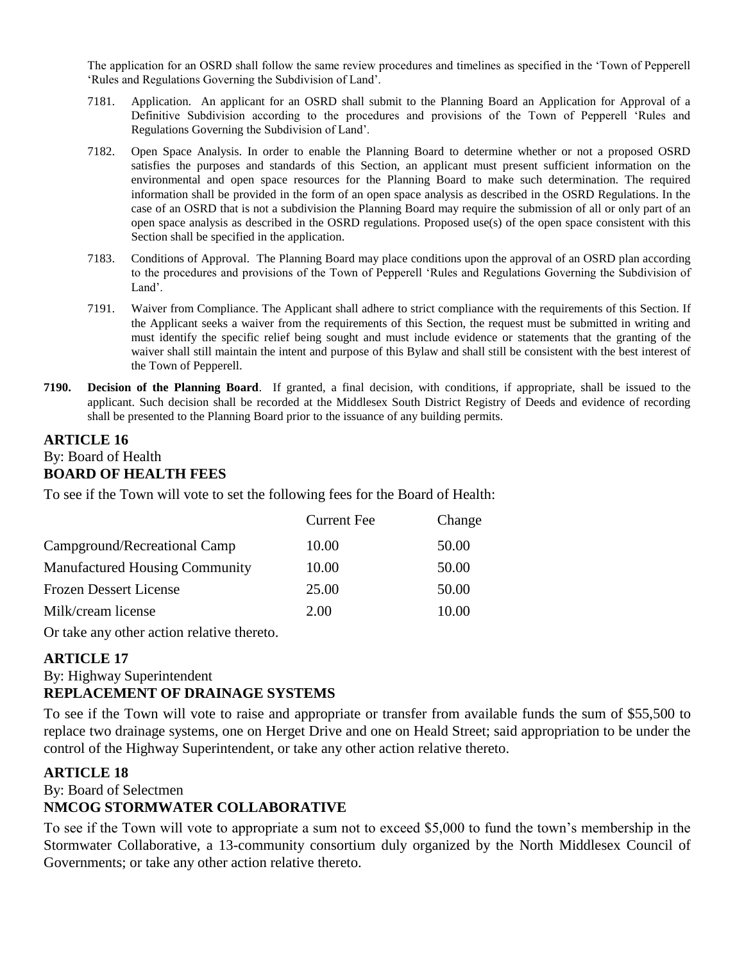The application for an OSRD shall follow the same review procedures and timelines as specified in the 'Town of Pepperell 'Rules and Regulations Governing the Subdivision of Land'.

- 7181. Application. An applicant for an OSRD shall submit to the Planning Board an Application for Approval of a Definitive Subdivision according to the procedures and provisions of the Town of Pepperell 'Rules and Regulations Governing the Subdivision of Land'.
- 7182. Open Space Analysis. In order to enable the Planning Board to determine whether or not a proposed OSRD satisfies the purposes and standards of this Section, an applicant must present sufficient information on the environmental and open space resources for the Planning Board to make such determination. The required information shall be provided in the form of an open space analysis as described in the OSRD Regulations. In the case of an OSRD that is not a subdivision the Planning Board may require the submission of all or only part of an open space analysis as described in the OSRD regulations. Proposed use(s) of the open space consistent with this Section shall be specified in the application.
- 7183. Conditions of Approval. The Planning Board may place conditions upon the approval of an OSRD plan according to the procedures and provisions of the Town of Pepperell 'Rules and Regulations Governing the Subdivision of Land'.
- 7191. Waiver from Compliance. The Applicant shall adhere to strict compliance with the requirements of this Section. If the Applicant seeks a waiver from the requirements of this Section, the request must be submitted in writing and must identify the specific relief being sought and must include evidence or statements that the granting of the waiver shall still maintain the intent and purpose of this Bylaw and shall still be consistent with the best interest of the Town of Pepperell.
- **7190. Decision of the Planning Board**. If granted, a final decision, with conditions, if appropriate, shall be issued to the applicant. Such decision shall be recorded at the Middlesex South District Registry of Deeds and evidence of recording shall be presented to the Planning Board prior to the issuance of any building permits.

### **ARTICLE 16** By: Board of Health **BOARD OF HEALTH FEES**

To see if the Town will vote to set the following fees for the Board of Health:

|                                       | <b>Current Fee</b> | Change |
|---------------------------------------|--------------------|--------|
| Campground/Recreational Camp          | 10.00              | 50.00  |
| <b>Manufactured Housing Community</b> | 10.00              | 50.00  |
| <b>Frozen Dessert License</b>         | 25.00              | 50.00  |
| Milk/cream license                    | 2.00               | 10.00  |
|                                       |                    |        |

Or take any other action relative thereto.

### **ARTICLE 17**

By: Highway Superintendent

### **REPLACEMENT OF DRAINAGE SYSTEMS**

To see if the Town will vote to raise and appropriate or transfer from available funds the sum of \$55,500 to replace two drainage systems, one on Herget Drive and one on Heald Street; said appropriation to be under the control of the Highway Superintendent, or take any other action relative thereto.

### **ARTICLE 18**

By: Board of Selectmen

### **NMCOG STORMWATER COLLABORATIVE**

To see if the Town will vote to appropriate a sum not to exceed \$5,000 to fund the town's membership in the Stormwater Collaborative, a 13-community consortium duly organized by the North Middlesex Council of Governments; or take any other action relative thereto.